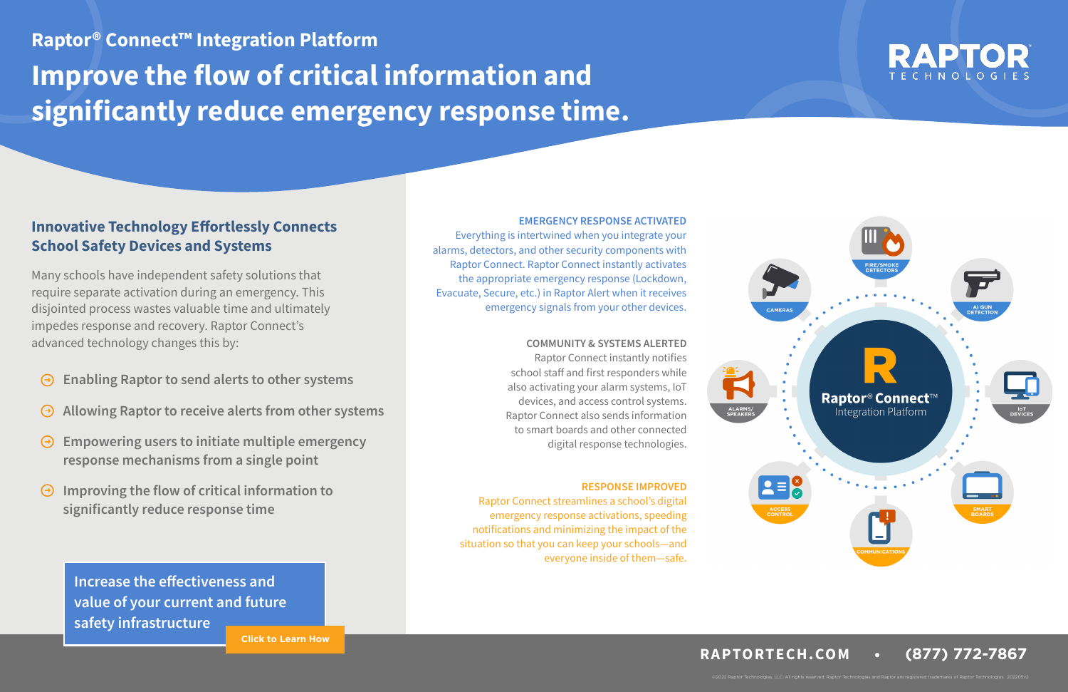- **Enabling Raptor to send alerts to other systems**
- **Allowing Raptor to receive alerts from other systems**   $\Theta$
- **Empowering users to initiate multiple emergency response mechanisms from a single point**
- **Improving the flow of critical information to significantly reduce response time**

## **Innovative Technology Effortlessly Connects School Safety Devices and Systems**

Many schools have independent safety solutions that require separate activation during an emergency. This disjointed process wastes valuable time and ultimately impedes response and recovery. Raptor Connect's advanced technology changes this by:

### **EMERGENCY RESPONSE ACTIVATED**

Everything is intertwined when you integrate your alarms, detectors, and other security components with Raptor Connect. Raptor Connect instantly activates the appropriate emergency response (Lockdown, Evacuate, Secure, etc.) in Raptor Alert when it receives emergency signals from your other devices.

**Improve the flow of critical information and significantly reduce emergency response time. Raptor® Connect™ Integration Platform**

### **COMMUNITY & SYSTEMS ALERTED**

Raptor Connect instantly notifies school staff and first responders while also activating your alarm systems, IoT devices, and access control systems. Raptor Connect also sends information to smart boards and other connected digital response technologies.

## **RESPONSE IMPROVED**

Raptor Connect streamlines a school's digital emergency response activations, speeding notifications and minimizing the impact of the situation so that you can keep your schools—and everyone inside of them—safe.



©2022 Raptor Technologies, LLC. All rights reserved. Raptor Technologies and Raptor are registered trademarks of Raptor Technologies. 202205v2





**[Click to Learn How](https://raptortech.com/request/)**

**Increase the effectiveness and [value of your current and future](https://raptortech.com/raptor-connect/)  safety infrastructure**